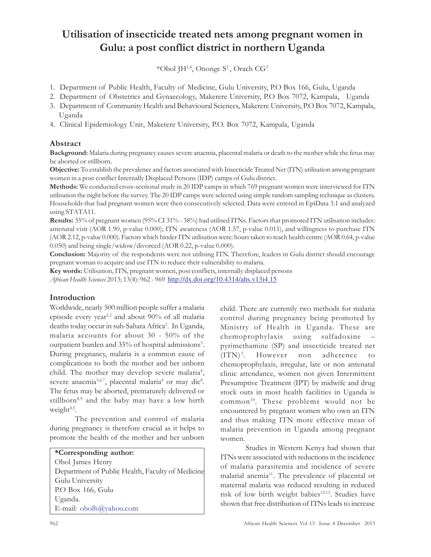# Utilisation of insecticide treated nets among pregnant women in Gulu: a post conflict district in northern Uganda

\*Obol JH<sup>1,4</sup>, Ononge S<sup>2</sup>, Orach CG<sup>3</sup>

- 1. Department of Public Health, Faculty of Medicine, Gulu University, P.O Box 166, Gulu, Uganda
- 2. Department of Obstetrics and Gynaecology, Makerere University, P.O Box 7072, Kampala, Uganda
- 3. Department of Community Health and Behavioural Sciences, Makerere University, P.O Box 7072, Kampala, Uganda
- 4. Clinical Epidemiology Unit, Makerere University, P.O. Box 7072, Kampala, Uganda

## Abstract

Background: Malaria during pregnancy causes severe anaemia, placental malaria or death to the mother while the fetus may be aborted or stillborn.

Objective: To establish the prevalence and factors associated with Insecticide Treated Net (ITN) utilisation among pregnant women in a post conflict Internally Displaced Persons (IDP) camps of Gulu district.

Methods: We conducted cross-sectional study in 20 IDP camps in which 769 pregnant women were interviewed for ITN utilisation the night before the survey. The 20 IDP camps were selected using simple random sampling technique as clusters. Households that had pregnant women were then consecutively selected. Data were entered in EpiData 3.1 and analyzed using STATA11.

Results: 35% of pregnant women (95% CI 31% - 38%) had utilised ITNs. Factors that promoted ITN utilisation includes: antenatal visit (AOR 1.90, p-value 0.000); ITN awareness (AOR 1.57, p-value 0.011), and willingness to purchase ITN (AOR 2.12, p-value 0.000). Factors which hinder ITN utilisation were: hours taken to reach health centre (AOR 0.64, p-value 0.050) and being single/widow/divorced (AOR 0.22, p-value 0.000).

Conclusion: Majority of the respondents were not utilising ITN. Therefore, leaders in Gulu district should encourage pregnant woman to acquire and use ITN to reduce their vulnerability to malaria.

Key words: Utilisation, ITN, pregnant women, post conflicts, internally displaced persons

African Health Sciences 2013; 13(4): 962 - 969 http://dx.doi.org/10.4314/ahs.v13i4.15

### Introduction

Worldwide, nearly 500 million people suffer a malaria episode every year<sup>1,2</sup> and about 90% of all malaria deaths today occur in sub-Sahara Africa<sup>2</sup>. In Uganda, malaria accounts for about 30 - 50% of the outpatient burden and 35% of hospital admissions<sup>3</sup>. During pregnancy, malaria is a common cause of complications to both the mother and her unborn child. The mother may develop severe malaria<sup>4</sup>, severe anaemia<sup>5,6,7</sup>, placental malaria<sup>4</sup> or may die<sup>8</sup>. The fetus may be aborted, prematurely delivered or stillborn<sup>8,9</sup> and the baby may have a low birth weight<sup>4,5</sup>.

The prevention and control of malaria during pregnancy is therefore crucial as it helps to promote the health of the mother and her unborn

| *Corresponding author:                           |
|--------------------------------------------------|
| Obol James Henry                                 |
| Department of Public Health, Faculty of Medicine |
| Gulu University                                  |
| P.O Box 166, Gulu                                |
| Uganda.                                          |
| E-mail: obolh@yahoo.com                          |

child. There are currently two methods for malaria control during pregnancy being promoted by Ministry of Health in Uganda. These are chemoprophylaxis using sulfadoxine – pyrimethamine (SP) and insecticide treated net  $(TTN)^3$ . . However non adherence to chemoprophylaxis, irregular, late or non antenatal clinic attendance, women not given Intermittent Presumptive Treatment (IPT) by midwife and drug stock outs in most health facilities in Uganda is common<sup>10</sup>. These problems would not be encountered by pregnant women who own an ITN and thus making ITN more effective mean of malaria prevention in Uganda among pregnant women.

Studies in Western Kenya had shown that ITNs were associated with reductions in the incidence of malaria parasitemia and incidence of severe malarial anemia<sup>11</sup>. The prevalence of placental or maternal malaria was reduced resulting in reduced risk of low birth weight babies<sup>12,13</sup>. Studies have shown that free distribution of ITNs leads to increase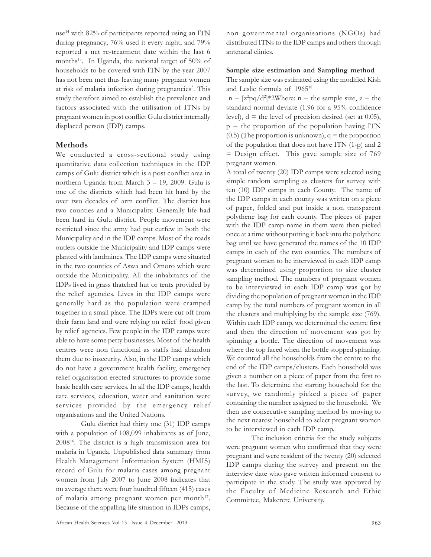use<sup>14</sup> with 82% of participants reported using an ITN during pregnancy; 76% used it every night, and 79% reported a net re-treatment date within the last 6 months<sup>15</sup>. In Uganda, the national target of 50% of households to be covered with ITN by the year 2007 has not been met thus leaving many pregnant women at risk of malaria infection during pregnancies<sup>3</sup>. This study therefore aimed to establish the prevalence and factors associated with the utilisation of ITNs by pregnant women in post conflict Gulu district internally displaced person (IDP) camps.

#### Methods

We conducted a cross-sectional study using quantitative data collection techniques in the IDP camps of Gulu district which is a post conflict area in northern Uganda from March 3 – 19, 2009. Gulu is one of the districts which had been hit hard by the over two decades of arm conflict. The district has two counties and a Municipality. Generally life had been hard in Gulu district. People movement were restricted since the army had put curfew in both the Municipality and in the IDP camps. Most of the roads outlets outside the Municipality and IDP camps were planted with landmines. The IDP camps were situated in the two counties of Aswa and Omoro which were outside the Municipality. All the inhabitants of the IDPs lived in grass thatched hut or tents provided by the relief agencies. Lives in the IDP camps were generally hard as the population were cramped together in a small place. The IDPs were cut off from their farm land and were relying on relief food given by relief agencies. Few people in the IDP camps were able to have some petty businesses. Most of the health centres were non functional as staffs had abandon them due to insecurity. Also, in the IDP camps which do not have a government health facility, emergency relief organisation erected structures to provide some basic health care services. In all the IDP camps, health care services, education, water and sanitation were services provided by the emergency relief organisations and the United Nations.

Gulu district had thirty one (31) IDP camps with a population of 108,099 inhabitants as of June, 2008<sup>16</sup>. The district is a high transmission area for malaria in Uganda. Unpublished data summary from Health Management Information System (HMIS) record of Gulu for malaria cases among pregnant women from July 2007 to June 2008 indicates that on average there were four hundred fifteen (415) cases of malaria among pregnant women per month<sup>17</sup>. Because of the appalling life situation in IDPs camps, non governmental organisations (NGOs) had distributed ITNs to the IDP camps and others through antenatal clinics.

#### Sample size estimation and Sampling method

The sample size was estimated using the modified Kish and Leslie formula of 1965<sup>18</sup>

 $n = [z^2pq/d^2]*2$ Where:  $n =$  the sample size,  $z =$  the standard normal deviate (1.96 for a 95% confidence level),  $d =$  the level of precision desired (set at 0.05),  $p =$  the proportion of the population having ITN  $(0.5)$  (The proportion is unknown),  $q =$  the proportion of the population that does not have ITN (1-p) and 2 = Design effect. This gave sample size of 769 pregnant women.

A total of twenty (20) IDP camps were selected using simple random sampling as clusters for survey with ten (10) IDP camps in each County. The name of the IDP camps in each county was written on a piece of paper, folded and put inside a non transparent polythene bag for each county. The pieces of paper with the IDP camp name in them were then picked once at a time without putting it back into the polythene bag until we have generated the names of the 10 IDP camps in each of the two counties. The numbers of pregnant women to be interviewed in each IDP camp was determined using proportion to size cluster sampling method. The numbers of pregnant women to be interviewed in each IDP camp was got by dividing the population of pregnant women in the IDP camp by the total numbers of pregnant women in all the clusters and multiplying by the sample size (769). Within each IDP camp, we determined the centre first and then the direction of movement was got by spinning a bottle. The direction of movement was where the top faced when the bottle stopped spinning. We counted all the households from the centre to the end of the IDP camps/clusters. Each household was given a number on a piece of paper from the first to the last. To determine the starting household for the survey, we randomly picked a piece of paper containing the number assigned to the household. We then use consecutive sampling method by moving to the next nearest household to select pregnant women to be interviewed in each IDP camp.

The inclusion criteria for the study subjects were pregnant women who confirmed that they were pregnant and were resident of the twenty (20) selected IDP camps during the survey and present on the interview date who gave written informed consent to participate in the study. The study was approved by the Faculty of Medicine Research and Ethic Committee, Makerere University.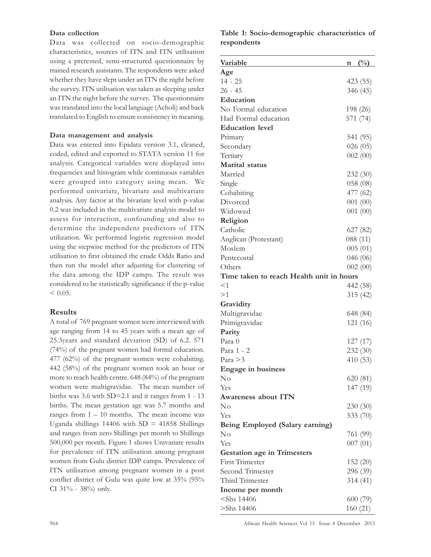#### Data collection

Data was collected on socio-demographic characteristics, sources of ITN and ITN utilisation using a pretested, semi-structured questionnaire by trained research assistants. The respondents were asked whether they have slept under an ITN the night before the survey. ITN utilisation was taken as sleeping under an ITN the night before the survey. The questionnaire was translated into the local language (Acholi) and back translated to English to ensure consistency in meaning.

#### Data management and analysis

Data was entered into Epidata version 3.1, cleaned, coded, edited and exported to STATA version 11 for analysis. Categorical variables were displayed into frequencies and histogram while continuous variables were grouped into category using mean. We performed univariate, bivariate and multivariate analysis. Any factor at the bivariate level with p-value 0.2 was included in the multivariate analysis model to assess for interaction, confounding and also to determine the independent predictors of ITN utilization. We performed logistic regression model using the stepwise method for the predictors of ITN utilisation to first obtained the crude Odds Ratio and then run the model after adjusting for clustering of the data among the IDP camps. The result was considered to be statistically significance if the p-value  $< 0.05$ .

#### Results

A total of 769 pregnant women were interviewed with age ranging from 14 to 45 years with a mean age of 25.3years and standard deviation (SD) of 6.2. 571 (74%) of the pregnant women had formal education. 477 (62%) of the pregnant women were cohabiting. 442 (58%) of the pregnant women took an hour or more to reach health centre. 648 (84%) of the pregnant women were multigravidae. The mean number of births was 3.6 with SD=2.1 and it ranges from 1 - 13 births. The mean gestation age was 5.7 months and ranges from  $1 - 10$  months. The mean income was Uganda shillings 14406 with  $SD = 41858$  Shillings and ranges from zero Shillings per month to Shillings 500,000 per month. Figure 1 shows Univariate results for prevalence of ITN utilisation among pregnant women from Gulu district IDP camps. Prevalence of ITN utilisation among pregnant women in a post conflict district of Gulu was quite low at 35% (95% CI 31% - 38%) only.

Table 1: Socio-demographic characteristics of respondents

| Variable                                 | $\frac{0}{0}$<br>n |
|------------------------------------------|--------------------|
| Age                                      |                    |
| $14 - 25$                                | 423 (55)           |
| $26 - 45$                                | 346 (45)           |
| Education                                |                    |
| No Formal education                      | 198 (26)           |
| Had Formal education                     | 571 (74)           |
| <b>Education</b> level                   |                    |
| Primary                                  | 541 (95)           |
| Secondary                                | 026(05)            |
| Tertiary                                 | 002(00)            |
| Marital status                           |                    |
| Married                                  | 232(30)            |
| Single                                   | 058 (08)           |
| Cohabiting                               | 477 (62)           |
| Divorced                                 | 001(00)            |
| Widowed                                  | 001(00)            |
| Religion                                 |                    |
| Catholic                                 | 627 (82)           |
|                                          |                    |
| Anglican (Protestant)<br>Moslem          | 088 (11)           |
|                                          | 005(01)            |
| Pentecostal                              | 046 (06)           |
| Others                                   | 002(00)            |
| Time taken to reach Health unit in hours |                    |
| <1                                       | 442 (58)           |
| >1                                       | 315 (42)           |
| Gravidity                                |                    |
| Multigravidae                            | 648 (84)           |
| Primigravidae                            | 121 (16)           |
| Parity                                   |                    |
| Para 0                                   | 127(17)            |
| Para 1 - 2                               | 232 (30)           |
| Para > 3                                 | 410(53)            |
| <b>Engage</b> in business                |                    |
| $\rm No$                                 | 620(81)            |
| Yes                                      | 147 (19)           |
| Awareness about ITN                      |                    |
| No                                       | 230(30)            |
| Yes                                      | 535 (70)           |
| Being Employed (Salary earning)          |                    |
| No                                       | 761 (99)           |
| Yes                                      | 007(01)            |
| <b>Gestation age in Trimesters</b>       |                    |
| <b>First Trimester</b>                   | 152 (20)           |
| Second Trimester                         | 296 (39)           |
| Third Trimester                          | 314(41)            |
|                                          |                    |
| Income per month<br>$<$ Shs 14406        |                    |
|                                          | 600 (79)           |
| $>$ Shs 14406                            | 160(21)            |

964 African Health Sciences Vol 13 Issue 4 December 2013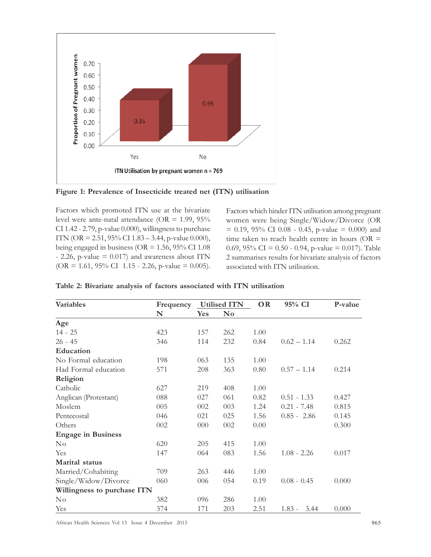

Figure 1: Prevalence of Insecticide treated net (ITN) utilisation

Factors which promoted ITN use at the bivariate level were ante-natal attendance (OR = 1.99, 95% CI 1.42 - 2.79, p-value 0.000), willingness to purchase ITN (OR = 2.51, 95% CI 1.83 – 3.44, p-value 0.000), being engaged in business ( $OR = 1.56$ ,  $95\%$  CI 1.08  $-$  2.26, p-value = 0.017) and awareness about ITN  $(OR = 1.61, 95\% \text{ CI } 1.15 - 2.26, \text{ p-value } = 0.005).$  Factors which hinder ITN utilisation among pregnant women were being Single/Widow/Divorce (OR  $= 0.19, 95\% \text{ CI } 0.08 - 0.45, \text{ p-value } = 0.000 \text{ and }$ time taken to reach health centre in hours ( $OR =$ 0.69, 95% CI = 0.50 - 0.94, p-value = 0.017). Table 2 summarises results for bivariate analysis of factors associated with ITN utilisation.

| <b>Variables</b>            | Frequency |     | <b>Utilised ITN</b> | <b>OR</b> | 95% CI           | P-value |
|-----------------------------|-----------|-----|---------------------|-----------|------------------|---------|
|                             | N         | Yes | $\bf No$            |           |                  |         |
| Age                         |           |     |                     |           |                  |         |
| $14 - 25$                   | 423       | 157 | 262                 | 1.00      |                  |         |
| $26 - 45$                   | 346       | 114 | 232                 | 0.84      | $0.62 - 1.14$    | 0.262   |
| Education                   |           |     |                     |           |                  |         |
| No Formal education         | 198       | 063 | 135                 | 1.00      |                  |         |
| Had Formal education        | 571       | 208 | 363                 | 0.80      | $0.57 - 1.14$    | 0.214   |
| Religion                    |           |     |                     |           |                  |         |
| Catholic                    | 627       | 219 | 408                 | 1.00      |                  |         |
| Anglican (Protestant)       | 088       | 027 | 061                 | 0.82      | $0.51 - 1.33$    | 0.427   |
| Moslem                      | 005       | 002 | 003                 | 1.24      | $0.21 - 7.48$    | 0.815   |
| Pentecostal                 | 046       | 021 | 025                 | 1.56      | $0.85 - 2.86$    | 0.145   |
| Others                      | 002       | 000 | 002                 | 0.00      |                  | 0.300   |
| <b>Engage in Business</b>   |           |     |                     |           |                  |         |
| $\rm No$                    | 620       | 205 | 415                 | 1.00      |                  |         |
| Yes                         | 147       | 064 | 083                 | 1.56      | $1.08 - 2.26$    | 0.017   |
| Marital status              |           |     |                     |           |                  |         |
| Married/Cohabiting          | 709       | 263 | 446                 | 1.00      |                  |         |
| Single/Widow/Divorce        | 060       | 006 | 054                 | 0.19      | $0.08 - 0.45$    | 0.000   |
| Willingness to purchase ITN |           |     |                     |           |                  |         |
| No                          | 382       | 096 | 286                 | 1.00      |                  |         |
| Yes                         | 374       | 171 | 203                 | 2.51      | $1.83 -$<br>3.44 | 0.000   |

|  |  |  |  |  |  |  | Table 2: Bivariate analysis of factors associated with ITN utilisation |  |  |  |
|--|--|--|--|--|--|--|------------------------------------------------------------------------|--|--|--|
|--|--|--|--|--|--|--|------------------------------------------------------------------------|--|--|--|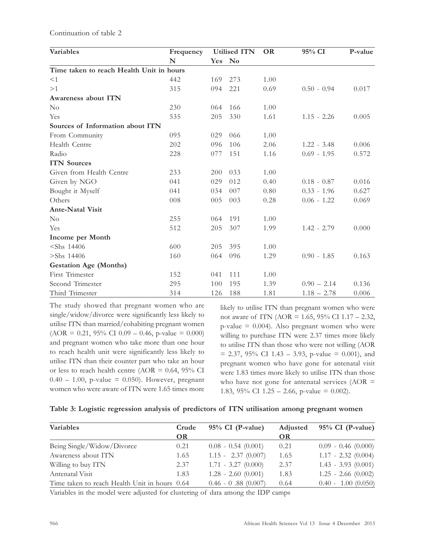| Continuation of table 2 |  |  |
|-------------------------|--|--|
|-------------------------|--|--|

| Variables                                | Frequency |            | <b>Utilised ITN</b> | <b>OR</b> | 95% CI        | P-value |
|------------------------------------------|-----------|------------|---------------------|-----------|---------------|---------|
|                                          | N         | <b>Yes</b> | No                  |           |               |         |
| Time taken to reach Health Unit in hours |           |            |                     |           |               |         |
| <1                                       | 442       | 169        | 273                 | 1.00      |               |         |
| >1                                       | 315       | 094        | 221                 | 0.69      | $0.50 - 0.94$ | 0.017   |
| Awareness about ITN                      |           |            |                     |           |               |         |
| $\rm No$                                 | 230       | 064        | 166                 | 1.00      |               |         |
| Yes                                      | 535       | 205        | 330                 | 1.61      | $1.15 - 2.26$ | 0.005   |
| Sources of Information about ITN         |           |            |                     |           |               |         |
| From Community                           | 095       | 029        | 066                 | 1.00      |               |         |
| Health Centre                            | 202       | 096        | 106                 | 2.06      | $1.22 - 3.48$ | 0.006   |
| Radio                                    | 228       | 077        | 151                 | 1.16      | $0.69 - 1.95$ | 0.572   |
| <b>ITN Sources</b>                       |           |            |                     |           |               |         |
| Given from Health Centre                 | 233       | 200        | 033                 | 1.00      |               |         |
| Given by NGO                             | 041       | 029        | 012                 | 0.40      | $0.18 - 0.87$ | 0.016   |
| Bought it Myself                         | 041       | 034        | 007                 | 0.80      | $0.33 - 1.96$ | 0.627   |
| Others                                   | 008       | 005        | 003                 | 0.28      | $0.06 - 1.22$ | 0.069   |
| <b>Ante-Natal Visit</b>                  |           |            |                     |           |               |         |
| $\rm No$                                 | 255       | 064        | 191                 | 1.00      |               |         |
| Yes                                      | 512       | 205        | 307                 | 1.99      | $1.42 - 2.79$ | 0.000   |
| Income per Month                         |           |            |                     |           |               |         |
| $<$ Shs 14406                            | 600       | 205        | 395                 | 1.00      |               |         |
| $>$ Shs 14406                            | 160       | 064        | 096                 | 1.29      | $0.90 - 1.85$ | 0.163   |
| <b>Gestation Age (Months)</b>            |           |            |                     |           |               |         |
| First Trimester                          | 152       | 041        | 111                 | 1.00      |               |         |
| Second Trimester                         | 295       | 100        | 195                 | 1.39      | $0.90 - 2.14$ | 0.136   |
| Third Trimester                          | 314       | 126        | 188                 | 1.81      | $1.18 - 2.78$ | 0.006   |

The study showed that pregnant women who are single/widow/divorce were significantly less likely to utilise ITN than married/cohabiting pregnant women  $(AOR = 0.21, 95\% \text{ CI } 0.09 - 0.46, \text{ p-value } = 0.000)$ and pregnant women who take more than one hour to reach health unit were significantly less likely to utilise ITN than their counter part who take an hour or less to reach health centre (AOR = 0.64, 95% CI  $0.40 - 1.00$ , p-value = 0.050). However, pregnant women who were aware of ITN were 1.65 times more likely to utilise ITN than pregnant women who were not aware of ITN (AOR = 1.65, 95% CI 1.17 – 2.32,  $p$ -value = 0.004). Also pregnant women who were willing to purchase ITN were 2.37 times more likely to utilise ITN than those who were not willing (AOR  $= 2.37, 95\% \text{ CI } 1.43 - 3.93, \text{ p-value } = 0.001, \text{ and}$ pregnant women who have gone for antenatal visit were 1.83 times more likely to utilise ITN than those who have not gone for antenatal services ( $AOR =$ 1.83, 95% CI 1.25 – 2.66, p-value =  $0.002$ ).

|  | Table 3: Logistic regression analysis of predictors of ITN utilisation among pregnant women |  |  |  |  |  |  |
|--|---------------------------------------------------------------------------------------------|--|--|--|--|--|--|
|--|---------------------------------------------------------------------------------------------|--|--|--|--|--|--|

| <b>Variables</b>                              | Crude     | $95\%$ CI (P-value)   | Adjusted | $95\%$ CI (P-value)   |
|-----------------------------------------------|-----------|-----------------------|----------|-----------------------|
|                                               | <b>OR</b> |                       | OR       |                       |
| Being Single/Widow/Divorce                    | 0.21      | $0.08 - 0.54 (0.001)$ | 0.21     | $0.09 - 0.46 (0.000)$ |
| Awareness about ITN                           | 1.65      | $1.15 - 2.37(0.007)$  | 1.65     | $1.17 - 2.32(0.004)$  |
| Willing to buy ITN                            | 2.37      | $1.71 - 3.27 (0.000)$ | 2.37     | $1.43 - 3.93$ (0.001) |
| Antenatal Visit                               | 1.83      | $1.28 - 2.60 (0.001)$ | 1.83     | $1.25 - 2.66 (0.002)$ |
| Time taken to reach Health Unit in hours 0.64 |           | $0.46 - 0.88$ (0.007) | 0.64     | $0.40 - 1.00 (0.050)$ |

Variables in the model were adjusted for clustering of data among the IDP camps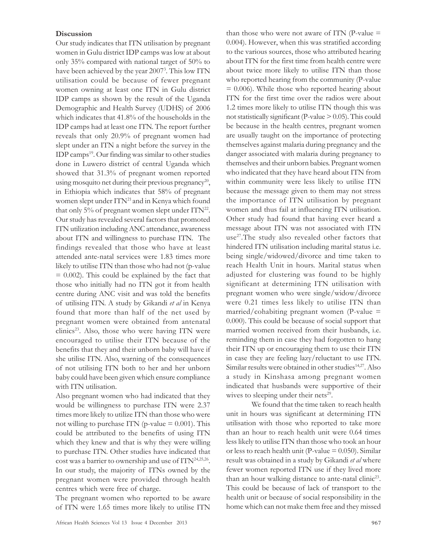#### **Discussion**

Our study indicates that ITN utilisation by pregnant women in Gulu district IDP camps was low at about only 35% compared with national target of 50% to have been achieved by the year 2007<sup>3</sup> . This low ITN utilisation could be because of fewer pregnant women owning at least one ITN in Gulu district IDP camps as shown by the result of the Uganda Demographic and Health Survey (UDHS) of 2006 which indicates that 41.8% of the households in the IDP camps had at least one ITN. The report further reveals that only 20.9% of pregnant women had slept under an ITN a night before the survey in the IDP camps<sup>19</sup>. Our finding was similar to other studies done in Luwero district of central Uganda which showed that 31.3% of pregnant women reported using mosquito net during their previous pregnancy<sup>20</sup>, in Ethiopia which indicates that 58% of pregnant women slept under ITN<sup>21</sup> and in Kenya which found that only 5% of pregnant women slept under ITN<sup>22</sup>. Our study has revealed several factors that promoted ITN utilization including ANC attendance, awareness about ITN and willingness to purchase ITN. The findings revealed that those who have at least attended ante-natal services were 1.83 times more likely to utilise ITN than those who had not (p-value  $= 0.002$ ). This could be explained by the fact that those who initially had no ITN got it from health centre during ANC visit and was told the benefits of utilising ITN. A study by Gikandi et al in Kenya found that more than half of the net used by pregnant women were obtained from antenatal clinics<sup>23</sup>. Also, those who were having ITN were encouraged to utilise their ITN because of the benefits that they and their unborn baby will have if she utilise ITN. Also, warning of the consequences of not utilising ITN both to her and her unborn baby could have been given which ensure compliance with ITN utilisation.

Also pregnant women who had indicated that they would be willingness to purchase ITN were 2.37 times more likely to utilize ITN than those who were not willing to purchase ITN (p-value  $= 0.001$ ). This could be attributed to the benefits of using ITN which they knew and that is why they were willing to purchase ITN. Other studies have indicated that cost was a barrier to ownership and use of ITN<sup>24,25,26</sup>. In our study, the majority of ITNs owned by the pregnant women were provided through health centres which were free of charge.

The pregnant women who reported to be aware of ITN were 1.65 times more likely to utilise ITN than those who were not aware of ITN (P-value  $=$ 0.004). However, when this was stratified according to the various sources, those who attributed hearing about ITN for the first time from health centre were about twice more likely to utilise ITN than those who reported hearing from the community (P-value  $= 0.006$ ). While those who reported hearing about ITN for the first time over the radios were about 1.2 times more likely to utilise ITN though this was not statistically significant (P-value  $> 0.05$ ). This could be because in the health centres, pregnant women are usually taught on the importance of protecting themselves against malaria during pregnancy and the danger associated with malaria during pregnancy to themselves and their unborn babies. Pregnant women who indicated that they have heard about ITN from within community were less likely to utilise ITN because the message given to them may not stress the importance of ITN utilisation by pregnant women and thus fail at influencing ITN utilisation. Other study had found that having ever heard a message about ITN was not associated with ITN use<sup>27</sup>. The study also revealed other factors that hindered ITN utilisation including marital status i.e. being single/widowed/divorce and time taken to reach Health Unit in hours. Marital status when adjusted for clustering was found to be highly significant at determining ITN utilisation with pregnant women who were single/widow/divorce were 0.21 times less likely to utilise ITN than married/cohabiting pregnant women (P-value  $=$ 0.000). This could be because of social support that married women received from their husbands, i.e. reminding them in case they had forgotten to hang their ITN up or encouraging them to use their ITN in case they are feeling lazy/reluctant to use ITN. Similar results were obtained in other studies<sup>14,27</sup>. Also a study in Kinshasa among pregnant women indicated that husbands were supportive of their wives to sleeping under their nets<sup>29</sup>.

We found that the time taken to reach health unit in hours was significant at determining ITN utilisation with those who reported to take more than an hour to reach health unit were 0.64 times less likely to utilise ITN than those who took an hour or less to reach health unit (P-value  $= 0.050$ ). Similar result was obtained in a study by Gikandi et al where fewer women reported ITN use if they lived more than an hour walking distance to ante-natal clinic<sup>23</sup>. This could be because of lack of transport to the health unit or because of social responsibility in the home which can not make them free and they missed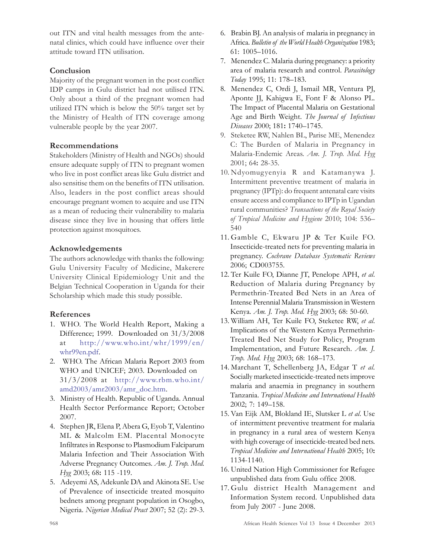out ITN and vital health messages from the antenatal clinics, which could have influence over their attitude toward ITN utilisation.

## Conclusion

Majority of the pregnant women in the post conflict IDP camps in Gulu district had not utilised ITN. Only about a third of the pregnant women had utilized ITN which is below the 50% target set by the Ministry of Health of ITN coverage among vulnerable people by the year 2007.

## Recommendations

Stakeholders (Ministry of Health and NGOs) should ensure adequate supply of ITN to pregnant women who live in post conflict areas like Gulu district and also sensitise them on the benefits of ITN utilisation. Also, leaders in the post conflict areas should encourage pregnant women to acquire and use ITN as a mean of reducing their vulnerability to malaria disease since they live in housing that offers little protection against mosquitoes.

## Acknowledgements

The authors acknowledge with thanks the following: Gulu University Faculty of Medicine, Makerere University Clinical Epidemiology Unit and the Belgian Technical Cooperation in Uganda for their Scholarship which made this study possible.

# References

- 1. WHO. The World Health Report, Making a Difference; 1999. Downloaded on 31/3/2008 at http://www.who.int/whr/1999/en/ whr99en.pdf.
- 2. WHO. The African Malaria Report 2003 from WHO and UNICEF; 2003. Downloaded on 31/3/2008 at http://www.rbm.who.int/ amd2003/amr2003/amr\_doc.htm.
- 3. Ministry of Health. Republic of Uganda. Annual Health Sector Performance Report; October 2007.
- 4. Stephen JR, Elena P, Abera G, Eyob T, Valentino ML & Malcolm EM. Placental Monocyte Infiltrates in Response to Plasmodium Falciparum Malaria Infection and Their Association With Adverse Pregnancy Outcomes. Am. J. Trop. Med. Hyg 2003; 68: 115 -119.
- 5. Adeyemi AS, Adekunle DA and Akinota SE. Use of Prevalence of insecticide treated mosquito bednets among pregnant population in Osogbo, Nigeria. Nigerian Medical Pract 2007; 52 (2): 29-3.
- 6. Brabin BJ. An analysis of malaria in pregnancy in Africa. Bulletin of the World Health Organization 1983; 61: 1005–1016.
- 7. Menendez C. Malaria during pregnancy: a priority area of malaria research and control. Parasitology Today 1995; 11: 178–183.
- 8. Menendez C, Ordi J, Ismail MR, Ventura PJ, Aponte JJ, Kahigwa E, Font F & Alonso PL. The Impact of Placental Malaria on Gestational Age and Birth Weight. The Journal of Infectious Diseases 2000; 181: 1740–1745.
- 9. Steketee RW, Nahlen BL, Parise ME, Menendez C: The Burden of Malaria in Pregnancy in Malaria-Endemic Areas. Am. J. Trop. Med. Hyg 2001; 64: 28-35.
- 10. Ndyomugyenyia R and Katamanywa J. Intermittent preventive treatment of malaria in pregnancy (IPTp): do frequent antenatal care visits ensure access and compliance to IPTp in Ugandan rural communities? Transactions of the Royal Society of Tropical Medicine and Hygiene 2010; 104: 536– 540
- 11. Gamble C, Ekwaru JP & Ter Kuile FO. Insecticide-treated nets for preventing malaria in pregnancy. Cochrane Database Systematic Reviews 2006; CD003755.
- 12. Ter Kuile FO, Dianne JT, Penelope APH, et al. Reduction of Malaria during Pregnancy by Permethrin-Treated Bed Nets in an Area of Intense Perennial Malaria Transmission in Western Kenya. Am. J. Trop. Med. Hyg 2003; 68: 50-60.
- 13. William AH, Ter Kuile FO, Steketee RW, et al. Implications of the Western Kenya Permethrin-Treated Bed Net Study for Policy, Program Implementation, and Future Research. Am. J. Trop. Med. Hyg 2003; 68: 168–173.
- 14. Marchant T, Schellenberg JA, Edgar T et al. Socially marketed insecticide-treated nets improve malaria and anaemia in pregnancy in southern Tanzania. Tropical Medicine and International Health 2002; 7: 149–158.
- 15. Van Eijk AM, Blokland IE, Slutsker L et al. Use of intermittent preventive treatment for malaria in pregnancy in a rural area of western Kenya with high coverage of insecticide-treated bed nets. Tropical Medicine and International Health 2005; 10: 1134-1140.
- 16. United Nation High Commissioner for Refugee unpublished data from Gulu office 2008.
- 17. Gulu district Health Management and Information System record. Unpublished data from July 2007 - June 2008.